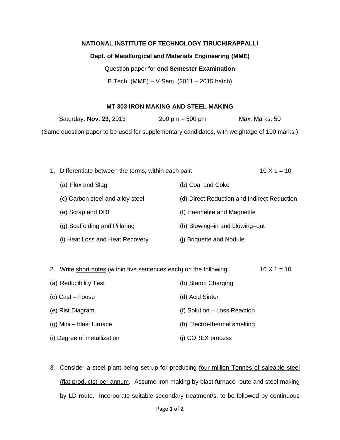## **NATIONAL INSTITUTE OF TECHNOLOGY TIRUCHIRAPPALLI**

## **Dept. of Metallurgical and Materials Engineering (MME)**

Question paper for **end Semester Examination**

B.Tech. (MME) – V Sem. (2011 – 2015 batch)

## **MT 303 IRON MAKING AND STEEL MAKING**

Saturday, **Nov. 23,** 2013 200 pm – 500 pm Max. Marks: 50 (Same question paper to be used for supplementary candidates, with weightage of 100 marks.)

| 1. Differentiate between the terms, within each pair: |                                             | $10 \times 1 = 10$ |
|-------------------------------------------------------|---------------------------------------------|--------------------|
| (a) Flux and Slag                                     | (b) Coal and Coke                           |                    |
| (c) Carbon steel and alloy steel                      | (d) Direct Reduction and Indirect Reduction |                    |
| (e) Scrap and DRI                                     | (f) Haemetite and Magnetite                 |                    |
| (g) Scaffolding and Pillaring                         | (h) Blowing-in and blowing-out              |                    |
| (i) Heat Loss and Heat Recovery                       | (i) Briquette and Nodule                    |                    |

| 2. Write short notes (within five sentences each) on the following: | $10 \times 1 = 10$           |  |
|---------------------------------------------------------------------|------------------------------|--|
| (a) Reducibility Test                                               | (b) Stamp Charging           |  |
| (c) Cast – house                                                    | (d) Acid Sinter              |  |
| (e) Rist Diagram                                                    | (f) Solution - Loss Reaction |  |
| $(g)$ Mini – blast furnace                                          | (h) Electro-thermal smelting |  |
|                                                                     |                              |  |

3. Consider a steel plant being set up for producing four million Tonnes of saleable steel (flat products) per annum. Assume iron making by blast furnace route and steel making

(i) Degree of metallization (i) COREX process

by LD route. Incorporate suitable secondary treatment/s, to be followed by continuous